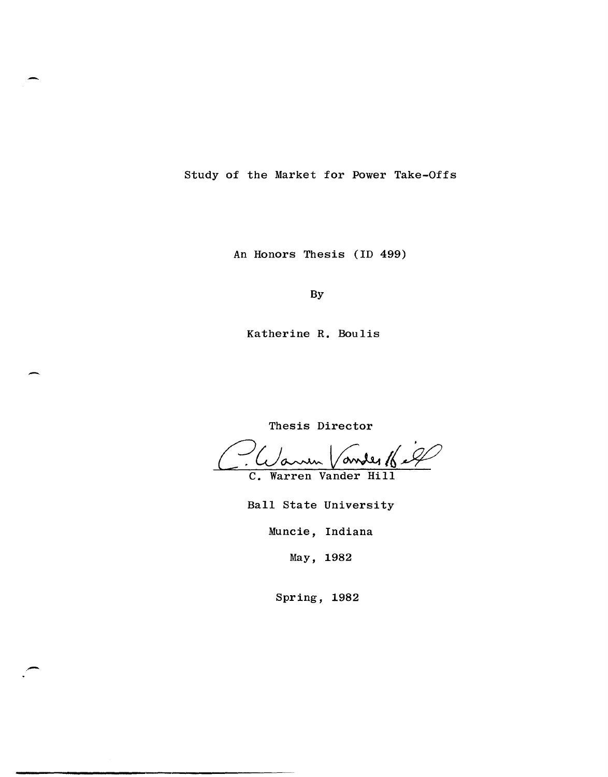Study of the Market for Power Take-Offs

An Honors Thesis (ID 499)

By

Katherine R. Boulis

-

.-

Thesis Director

C. Warren Vander Hill

Ball State University

Muncie, Indiana

May, 1982

Spring, 1982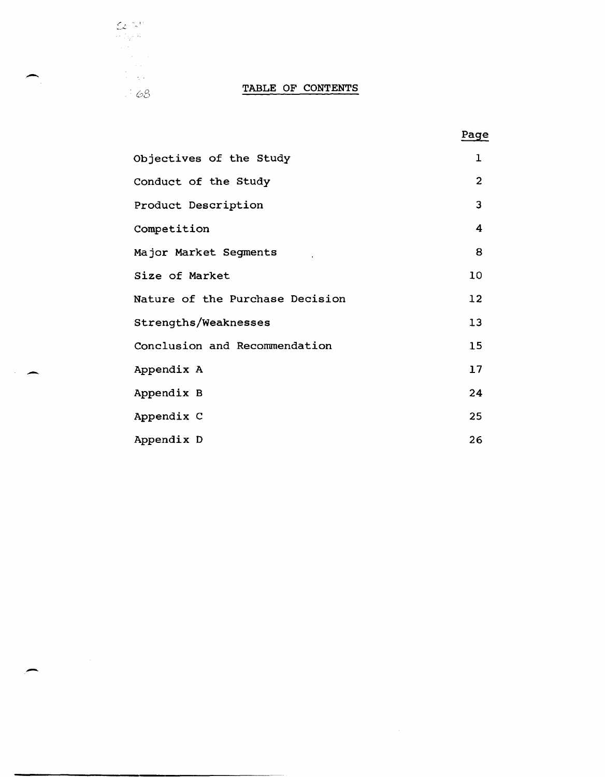# Expediant de Contexte de Contexte de Contexte de Contexte de Contexte de Contexte de Contexte de Contexte de Contexte de Contexte de Contexte de Contexte de Contexte de Contexte de Contexte de Contexte de Contexte de Conte

|                                 | Page            |
|---------------------------------|-----------------|
| Objectives of the Study         | $\mathbf 1$     |
| Conduct of the Study            | $\overline{2}$  |
| Product Description             | $\overline{3}$  |
| Competition                     | 4               |
| Major Market Segments           | 8               |
| Size of Market                  | 10              |
| Nature of the Purchase Decision | 12 <sup>2</sup> |
| Strengths/Weaknesses            | 13              |
| Conclusion and Recommendation   | 15 <sub>2</sub> |
| Appendix A                      | 17              |
| Appendix B                      | 24              |
| Appendix C                      | 25              |
| Appendix D                      | 26              |

-

 $\sim$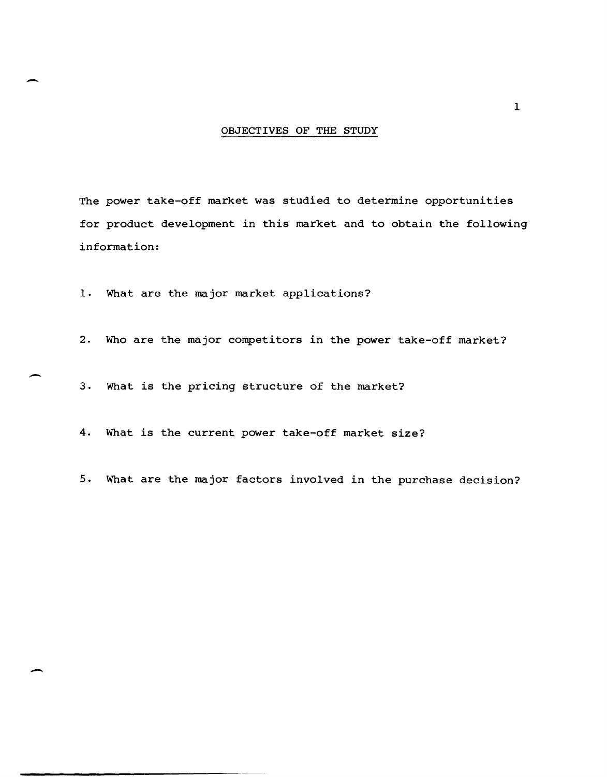#### OBJECTIVES OF THE STUDY

The power take-off market was studied to determine opportunities for product development in this market and to obtain the following information:

1. What are the major market applications?

2. Who are the major competitors in the power take-off market?

3. What is the pricing structure of the market?

4. What is the current power take-off market size?

5. What are the major factors involved in the purchase decision?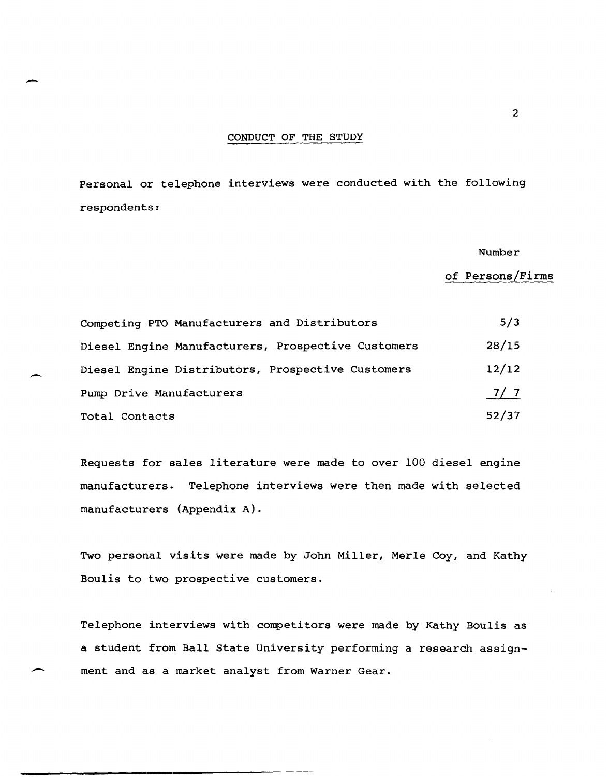#### CONDUCT OF THE STUDY

Personal or telephone interviews were conducted with the following respondents:

Number

of Persons/Firms

| Competing PTO Manufacturers and Distributors       | 5/3   |
|----------------------------------------------------|-------|
| Diesel Engine Manufacturers, Prospective Customers | 28/15 |
| Diesel Engine Distributors, Prospective Customers  | 12/12 |
| Pump Drive Manufacturers                           | 7/7   |
| Total Contacts                                     | 52/37 |

Requests for sales literature were made to over 100 diesel engine manufacturers. Telephone interviews were then made with selected manufacturers (Appendix A).

Two personal visits were made by John Miller, Merle Coy, and Kathy Boulis to two prospective customers.

Telephone interviews with competitors were made by Kathy Boulis as a student from Ball State University performing a research assign ment and as a market analyst from Warner Gear.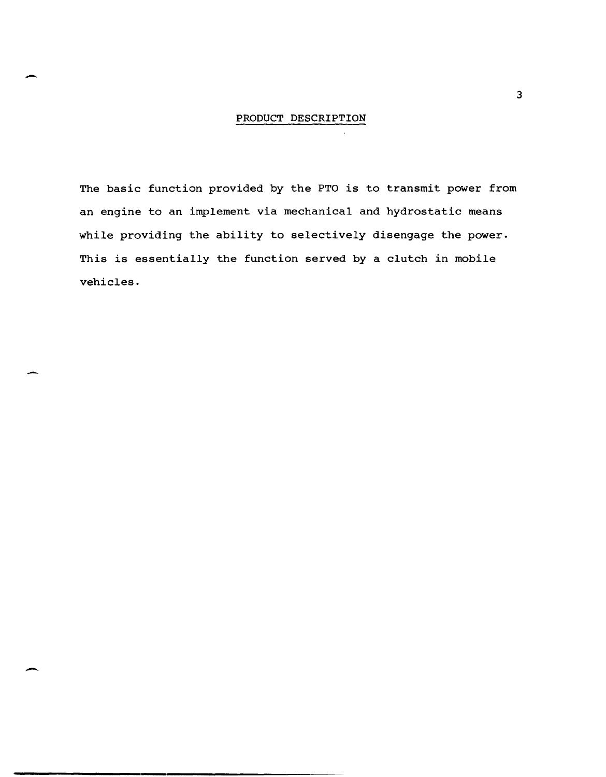#### PRODUCT DESCRIPTION

The basic function provided by the PTO is to transmit power from an engine to an implement via mechanical and hydrostatic means while providing the ability to selectively disengage the power. This is essentially the function served by a clutch in mobile vehicles.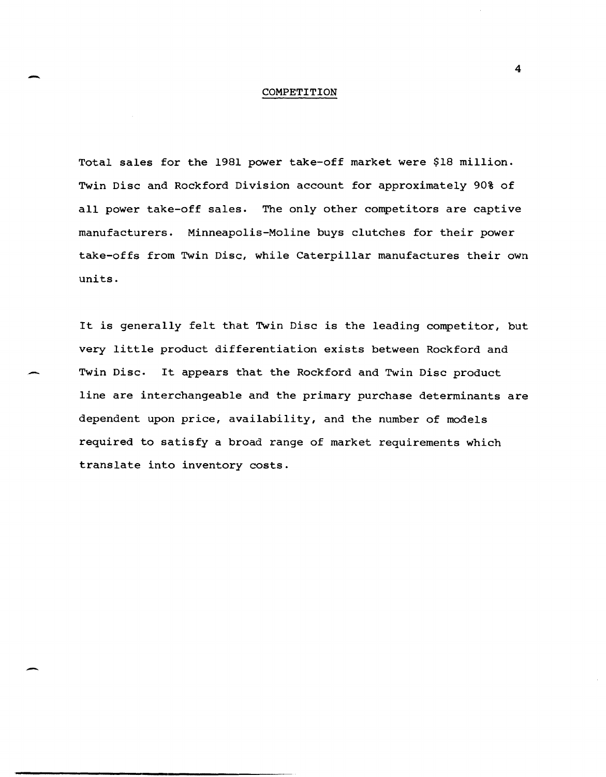#### COMPETITION

Total sales for the 1981 power take-off market were \$18 million. Twin Disc and Rockford Division account for approximately 90% of all power take-off sales. The only other competitors are captive manufacturers. Minneapolis-Moline buys clutches for their power take-offs from Twin Disc, while Caterpillar manufactures their own units.

It is generally felt that Twin Disc is the leading competitor, but very little product differentiation exists between Rockford and Twin Disc. It appears that the Rockford and Twin Disc product line are interchangeable and the primary purchase determinants are dependent upon price, availability, and the number of models required to satisfy a broad range of market requirements which translate into inventory costs.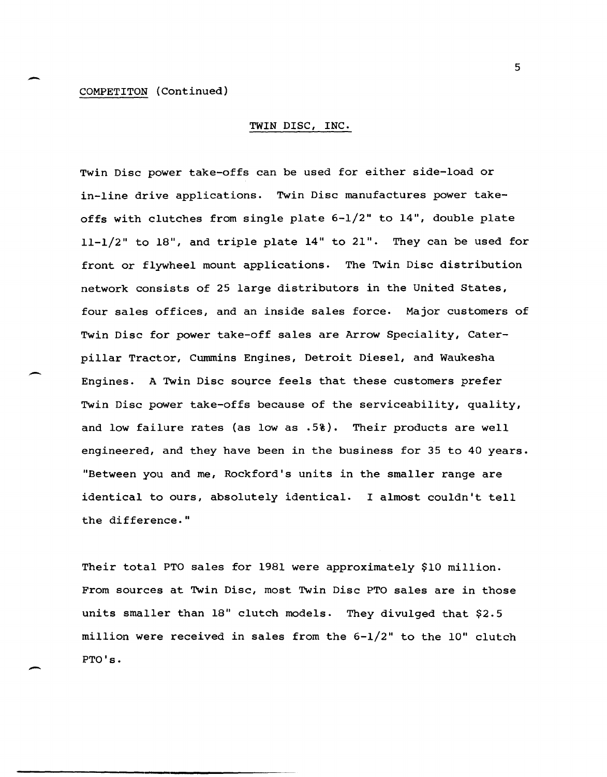#### COMPETITON (Continued)

-

 $\overline{\phantom{0}}$ 

-

#### TWIN DISC, INC.

Twin Disc power take-offs can be used for either side-load or in-line drive applications. Twin Disc manufactures power takeoffs with clutches from single plate 6-1/2" to 14", double plate 11-1/2" to 18", and triple plate 14" to 21". They can be used for front or flywheel mount applications. The Twin Disc distribution network consists of 25 large distributors in the United States, four sales offices, and an inside sales force. Major customers of Twin Disc for power take-off sales are Arrow Speciality, Caterpillar Tractor, Cummins Engines, Detroit Diesel, and Waukesha Engines. A Twin Disc source feels that these customers prefer Twin Disc power take-offs because of the serviceability, quality, and low failure rates (as low as .5%). Their products are well engineered, and they have been in the business for 35 to 40 years. "Between you and me, Rockford's units in the smaller range are identical to ours, absolutely identical. I almost couldn't tell the difference."

Their total PTO sales for 1981 were approximately \$10 million. From sources at Twin Disc, most Twin Disc PTO sales are in those units smaller than 18" clutch models. They divulged that \$2.5 million were received in sales from the 6-1/2" to the 10" clutch PTO's.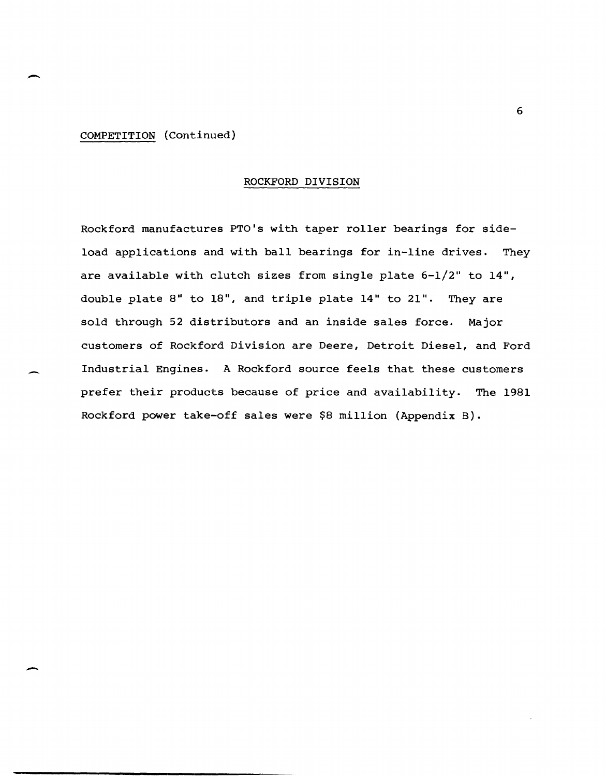COMPETITION (Continued)

 $\overline{\phantom{0}}$ 

-

#### ROCKFORD DIVISION

Rockford manufactures PTO's with taper roller bearings for sideload applications and with ball bearings for in-line drives. They are available with clutch sizes from single plate 6-1/2" to 14", double plate 8" to 18", and triple plate 14" to 21". They are sold through 52 distributors and an inside sales force. Major customers of Rockford Division are Deere, Detroit Diesel, and Ford Industrial Engines. A Rockford source feels that these customers prefer their products because of price and availability. The 1981 Rockford power take-off sales were \$8 million (Appendix B).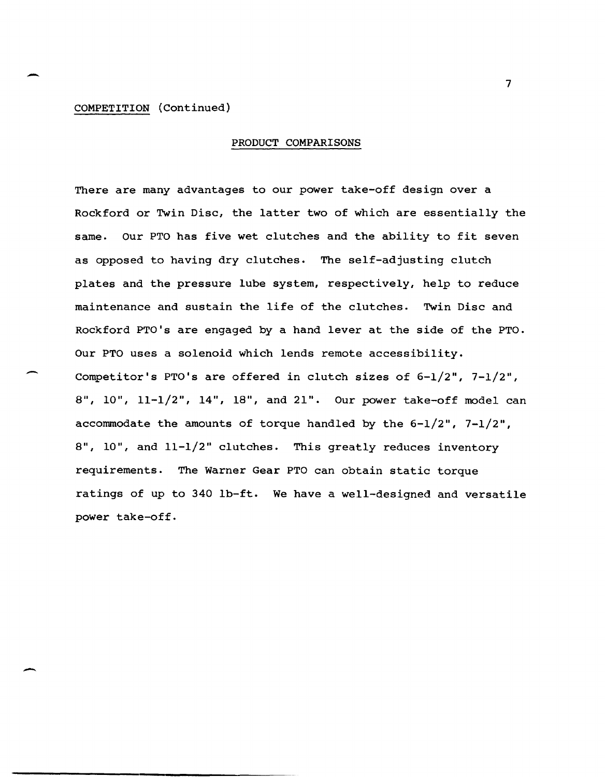#### COMPETITION (Continued)

-

--

-

#### PRODUCT COMPARISONS

There are many advantages to our power take-off design over a Rockford or Twin Disc, the latter two of which are essentially the same. Our PTO has five wet clutches and the ability to fit seven as opposed to having dry clutches. The self-adjusting clutch plates and the pressure lube system, respectively, help to reduce maintenance and sustain the life of the clutches. Twin Disc and Rockford PTO's are engaged by a hand lever at the side of the PTO. Our PTO uses a solenoid which lends remote accessibility. Competitor's PTO's are offered in clutch sizes of 6-1/2", 7-1/2", S", 10", 11-1/2", 14", IS", and 21". Our power take-off model can accommodate the amounts of torque handled by the  $6-1/2$ ",  $7-1/2$ ", S", 10", and 11-1/2" clutches. This greatly reduces inventory requirements. The Warner Gear PTO can obtain static torque ratings of up to 340 Ib-ft. We have a well-designed and versatile power take-off.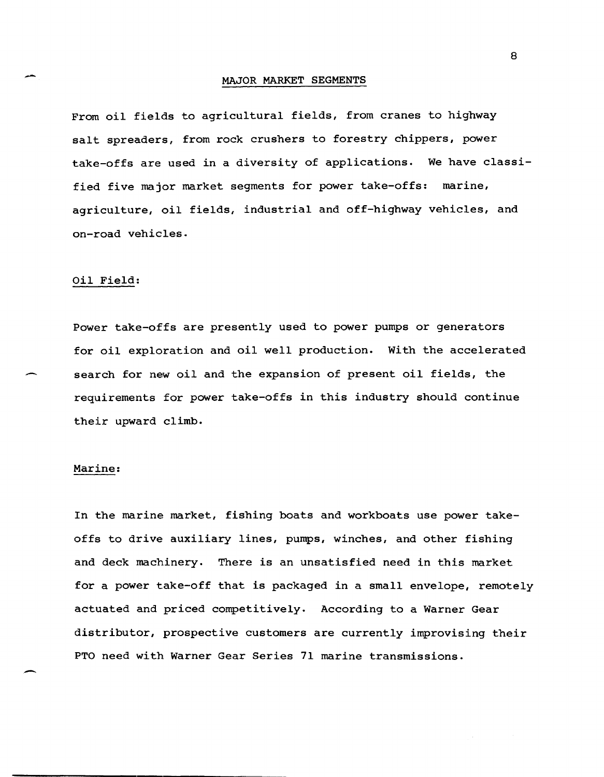#### MAJOR MARKET SEGMENTS

From oil fields to agricultural fields, from cranes to highway salt spreaders, from rock crushers to forestry chippers, power take-offs are used in a diversity of applications. We have classified five major market segments for power take-offs: marine, agriculture, oil fields, industrial and off-highway vehicles, and on-road vehicles.

#### Oil Field:

Power take-offs are presently used to power pumps or generators for oil exploration and oil well production. With the accelerated search for new oil and the expansion of present oil fields, the requirements for power take-offs in this industry should continue their upward climb.

#### Marine:

In the marine market, fishing boats and workboats use power takeoffs to drive auxiliary lines, pumps, winches, and other fishing and deck machinery. There is an unsatisfied need in this market for a power take-off that is packaged in a small envelope, remotely actuated and priced competitively. According to a Warner Gear distributor, prospective customers are currently improvising their PTO need with Warner Gear Series 71 marine transmissions.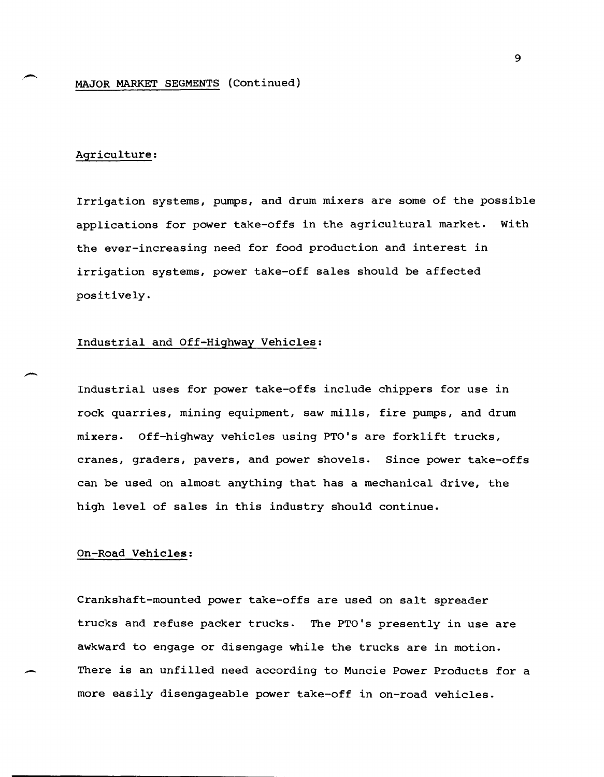#### Agriculture:

-

Irrigation systems, pumps, and drum mixers are some of the possible applications for power take-offs in the agricultural market. With the ever-increasing need for food production and interest in irrigation systems, power take-off sales should be affected positively.

#### Industrial and Off-Highway Vehicles:

Industrial uses for power take-offs include chippers for use in rock quarries, mining equipment, saw mills, fire pumps, and drum mixers. Off-highway vehicles using PTO's are forklift trucks, cranes, graders, pavers, and power shovels. Since power take-offs can be used on almost anything that has a mechanical drive, the high level of sales in this industry should continue.

#### On-Road Vehicles:

Crankshaft-mounted power take-offs are used on salt spreader trucks and refuse packer trucks. The PTO's presently in use are awkward to engage or disengage while the trucks are in motion. There is an unfilled need according to Muncie Power Products for a more easily disengageable power take-off in on-road vehicles.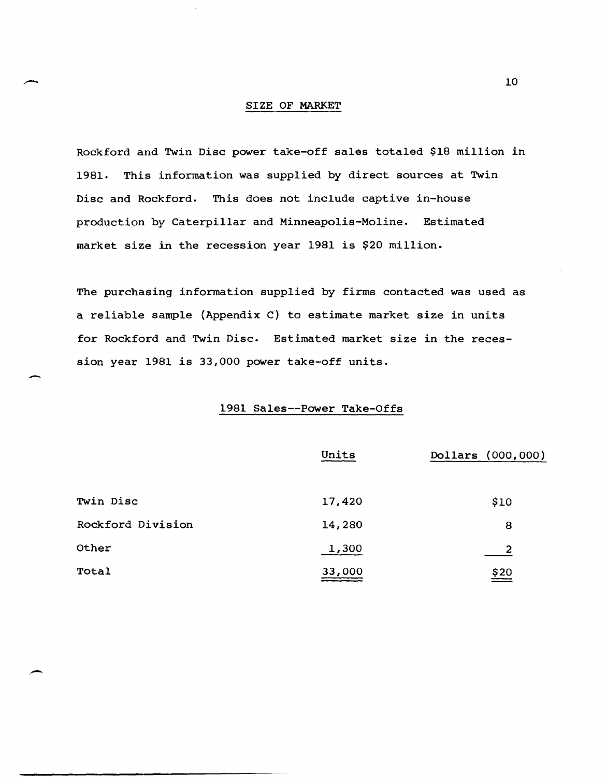#### SIZE OF MARKET

Rockford and Twin Disc power take-off sales totaled \$18 million in 1981. This information was supplied by direct sources at Twin Disc and Rockford. This does not include captive in-house production by Caterpillar and Minneapolis-Moline. Estimated market size in the recession year 1981 is \$20 million.

The purchasing information supplied by firms contacted was used as a reliable sample (Appendix C) to estimate market size in units for Rockford and Twin Disc. Estimated market size in the recession year 1981 is 33,000 power take-off units.

-

,-

#### 1981 Sales--Power Take-Offs

|                   | Units  | Dollars (000,000) |  |  |
|-------------------|--------|-------------------|--|--|
| Twin Disc         | 17,420 | \$10              |  |  |
| Rockford Division | 14,280 | 8                 |  |  |
| Other             | 1,300  | 2                 |  |  |
| Total             | 33,000 | \$20              |  |  |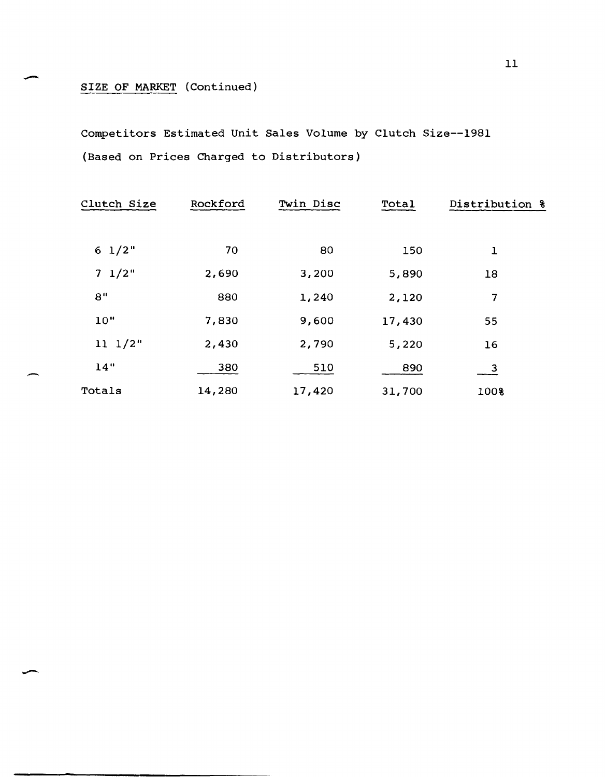# SIZE OF MARKET (Continued)

--

.-

Competitors Estimated Unit Sales Volume by Clutch Size--1981 (Based on Prices Charged to Distributors)

| Clutch Size      | Rockford | Twin Disc | Total           | Distribution &        |
|------------------|----------|-----------|-----------------|-----------------------|
| $6\frac{1}{2}$ " | 70       | 80        |                 |                       |
| $7 \frac{1}{2}$  | 2,690    | 3,200     | 150             | $\mathbf{I}$          |
| 8"               | 880      | 1,240     | 5,890           | 18<br>7               |
| 10"              | 7,830    | 9,600     | 2,120<br>17,430 |                       |
| $11 \t1/2"$      | 2,430    | 2,790     | 5,220           | 55<br>16              |
| 14"              | 380      | 510       | 890             |                       |
| Totals           | 14,280   | 17,420    | 31,700          | $\frac{3}{2}$<br>100% |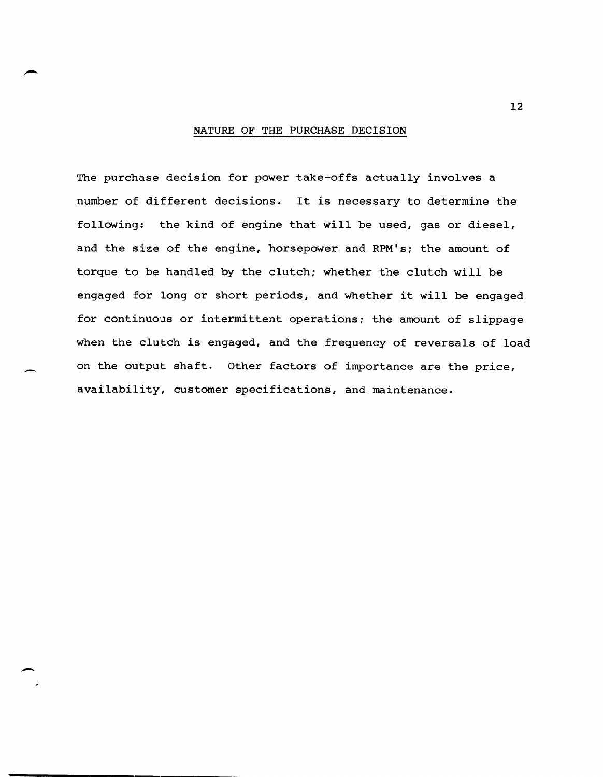#### NATURE OF THE PURCHASE DECISION

The purchase decision for power take-offs actually involves a number of different decisions. It is necessary to determine the following: the kind of engine that will be used, gas or diesel, and the size of the engine, horsepower and RPM's; the amount of torque to be handled by the clutch; whether the clutch will be engaged for long or short periods, and whether it will be engaged for continuous or intermittent operations; the amount of slippage when the clutch is engaged, and the frequency of reversals of load on the output shaft. Other factors of importance are the price, availability, customer specifications, and maintenance.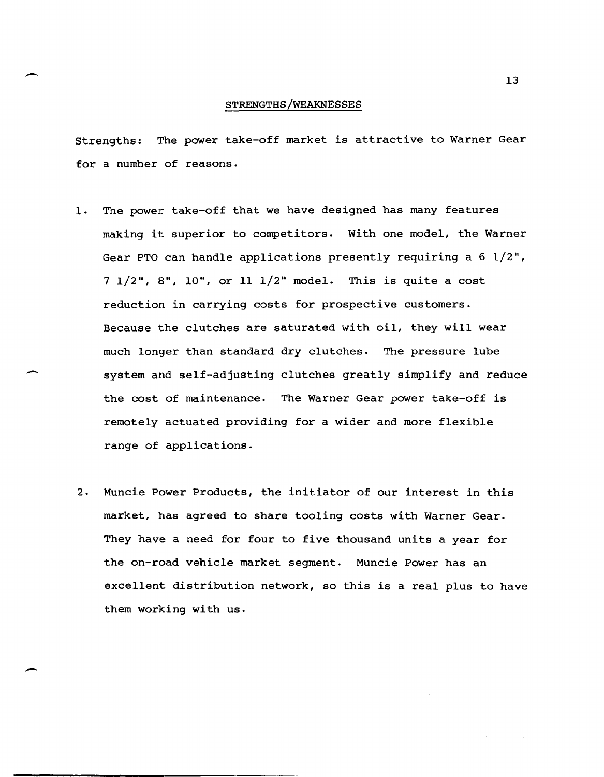#### STRENGTHS/WEAKNESSES

-

-

-

Strengths: The power take-off market is attractive to Warner Gear for a number of reasons.

- 1. The power take-off that we have designed has many features making it superior to competitors. With one model, the Warner Gear PTO can handle applications presently requiring a 6 1/2", 7 1/2", 8", 10", or 11 1/2" model. This is quite a cost reduction in carrying costs for prospective customers. Because the clutches are saturated with oil, they will wear much longer than standard dry clutches. The pressure lube system and self-adjusting clutches greatly simplify and reduce the cost of maintenance. The Warner Gear power take-off is remotely actuated providing for a wider and more flexible range of applications.
- 2. Muncie Power Products, the initiator of our interest in this market, has agreed to share tooling costs with Warner Gear. They have a need for four to five thousand units a year for the on-road vehicle market segment. Muncie Power has an excellent distribution network, so this is a real plus to have them working with us.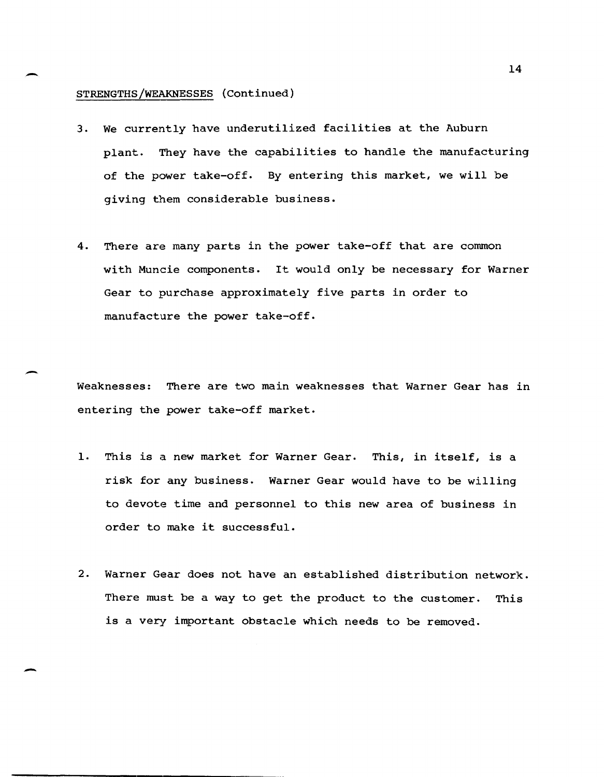#### STRENGTHS/WEAKNESSES (Continued)

- 3. We currently have underutilized facilities at the Auburn plant. They have the capabilities to handle the manufacturing of the power take-off. By entering this market, we will be giving them considerable business.
- 4. There are many parts in the power take-off that are common with Muncie components. It would only be necessary for Warner Gear to purchase approximately five parts in order to manufacture the power take-off.

Weaknesses: There are two main weaknesses that Warner Gear has in entering the power take-off market.

- 1. This is a new market for Warner Gear. This, in itself, is a risk for any business. Warner Gear would have to be willing to devote time and personnel to this new area of business in order to make it successful.
- 2. Warner Gear does not have an established distribution network. There must be a way to get the product to the customer. This is a very important obstacle which needs to be removed.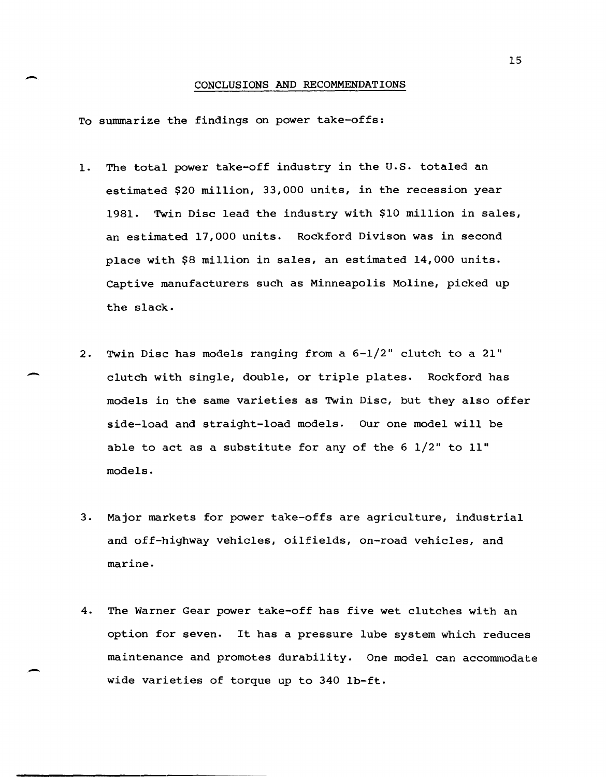#### CONCLUSIONS AND RECOMMENDATIONS

To summarize the findings on power take-offs:

-

-

-

- 1. The total power take-off industry in the U.S. totaled an estimated \$20 million, 33,000 units, in the recession year 1981. Twin Disc lead the industry with \$10 million in sales, an estimated 17,000 units. Rockford Divison was in second place with \$8 million in sales, an estimated 14,000 units. Captive manufacturers such as Minneapolis Moline, picked up the slack.
- 2. Twin Disc has models ranging from a 6-1/2" clutch to a 21" clutch with single, double, or triple plates. Rockford has models in the same varieties as Twin Disc, but they also offer side-load and straight-load models. Our one model will be able to act as a substitute for any of the 6 1/2" to II" models.
- 3. Major markets for power take-offs are agriculture, industrial and off-highway vehicles, oilfields, on-road vehicles, and marine.
- 4. The Warner Gear power take-off has five wet clutches with an option for seven. It has a pressure lube system which reduces maintenance and promotes durability. One model can accommodate wide varieties of torque up to 340 Ib-ft.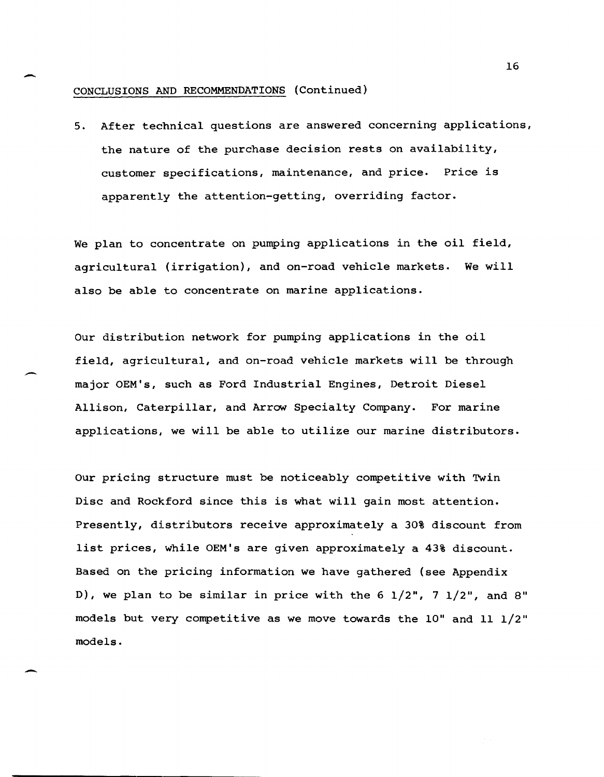#### CONCLUSIONS AND RECOMMENDATIONS (Continued)

-

-

-

5. After technical questions are answered concerning applications, the nature of the purchase decision rests on availability, customer specifications, maintenance, and price. Price is apparently the attention-getting, overriding factor.

We plan to concentrate on pumping applications in the oil field, agricultural (irrigation), and on-road vehicle markets. We will also be able to concentrate on marine applications.

Our distribution network for pumping applications in the oil field, agricultural, and on-road vehicle markets will be through major OEM's, such as Ford Industrial Engines, Detroit Diesel Allison, Caterpillar, and Arrow Specialty Company. For marine applications, we will be able to utilize our marine distributors.

Our pricing structure must be noticeably competitive with Twin Disc and Rockford since this is what will gain most attention. Presently, distributors receive approximately a 30% discount from list prices, while OEM's are given approximately a 43% discount. Based on the pricing information we have gathered (see Appendix D), we plan to be similar in price with the 6  $1/2$ ", 7  $1/2$ ", and 8" models but very competitive as we move towards the 10" and 11 1/2" models.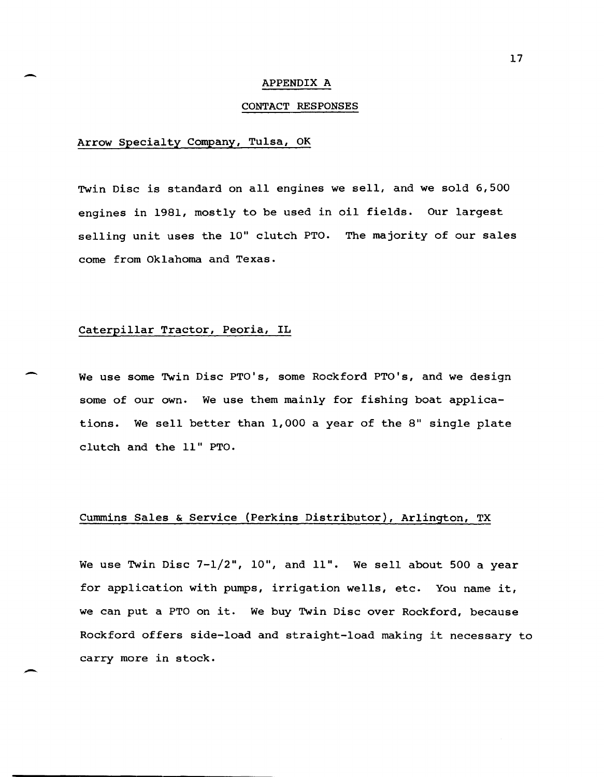#### APPENDIX A

#### CONTACT RESPONSES

#### Arrow Specialty Company, Tulsa, OK

-

-

-

Twin Disc is standard on all engines we sell, and we sold 6,500 engines in 1981, mostly to be used in oil fields. Our largest selling unit uses the 10" clutch PTO. The majority of our sales come from Oklahoma and Texas.

#### Caterpillar Tractor, Peoria, IL

We use some Twin Disc PTO's, some Rockford PTO's, and we design some of our own. We use them mainly for fishing boat applications. We sell better than 1,000 a year of the 8" single plate clutch and the 11" PTO.

#### Cummins Sales & Service (Perkins Distributor), Arlington, TX

We use Twin Disc 7-1/2", 10", and 11". We sell about 500 a year for application with pumps, irrigation wells, etc. You name it, we can put a PTO on it. We buy Twin Disc over Rockford, because Rockford offers side-load and straight-load making it necessary to carry more in stock.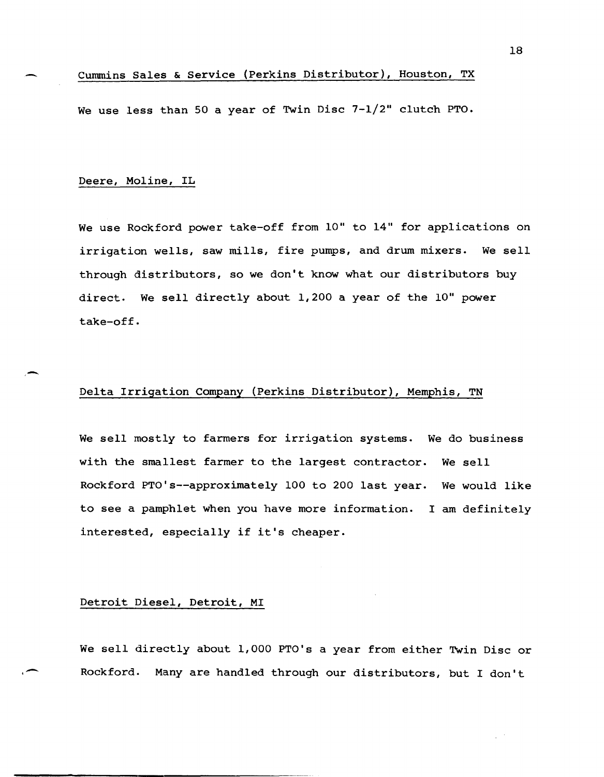#### Cummins Sales & Service (Perkins Distributor), Houston, TX

We use less than 50 a year of Twin Disc 7-1/2" clutch PTO.

#### Deere, Moline, IL

,,-

-

We use Rockford power take-off from 10" to 14" for applications on irrigation wells, saw mills, fire pumps, and drum mixers. We sell through distributors, so we don't know what our distributors buy direct. We sell directly about 1,200 a year of the 10" power take-off.

#### Delta Irrigation Company (Perkins Distributor), Memphis, TN

We sell mostly to farmers for irrigation systems. We do business with the smallest farmer to the largest contractor. We sell Rockford PTO's--approximately 100 to 200 last year. We would like to see a pamphlet when you have more information. I am definitely interested, especially if it's cheaper.

#### Detroit Diesel, Detroit, MI

We sell directly about 1,000 PTO's a year from either Twin Disc or Rockford. Many are handled through our distributors, but I don't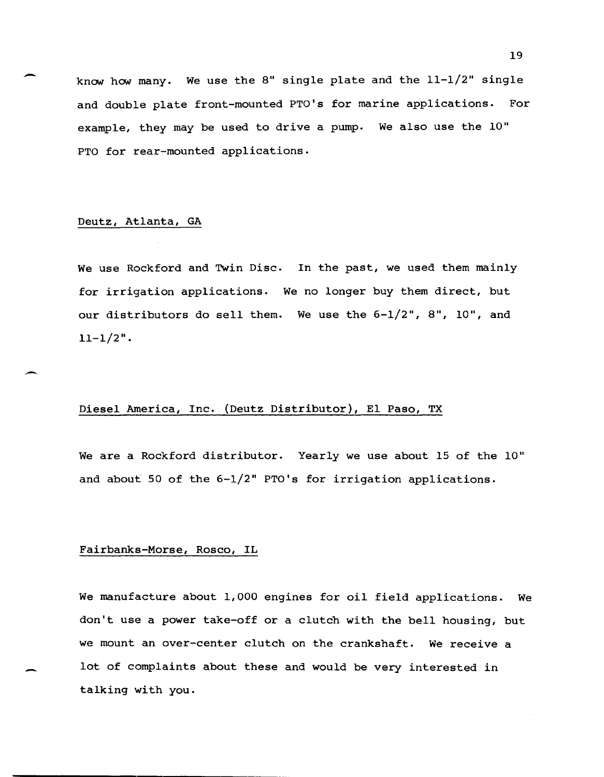know how many. We use the 8" single plate and the  $11-1/2$ " single and double plate front-mounted PTO's for marine applications. For example, they may be used to drive a pump. We also use the 10" PTO for rear-mounted applications.

#### Deutz, Atlanta, GA

-

 $\overline{\phantom{0}}$ 

We use Rockford and Twin Disc. In the past, we used them mainly for irrigation applications. We no longer buy them direct, but our distributors do sell them. We use the 6-1/2", 8", 10", and  $11 - 1/2$ ".

#### Diesel America, Inc. (Deutz Distributor), El Paso, TX

We are a Rockford distributor. Yearly we use about 15 of the 10" and about 50 of the 6-1/2" PTO's for irrigation applications.

#### Fairbanks-Morse, Rosco, IL

We manufacture about 1,000 engines for oil field applications. We don't use a power take-off or a clutch with the bell housing, but we mount an over-center clutch on the crankshaft. We receive a lot of complaints about these and would be very interested in talking with you.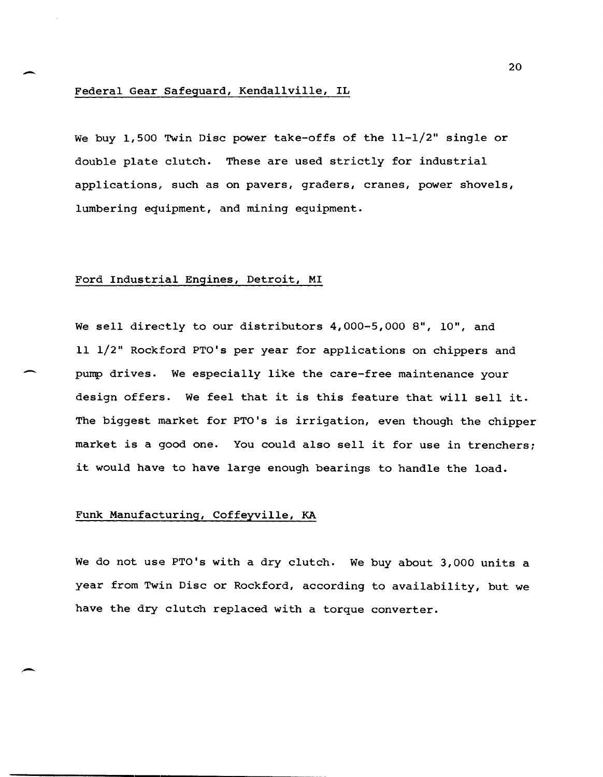#### Federal Gear Safeguard, Kendallville, IL

-

-

 $\overline{\phantom{0}}$ 

We buy 1,500 Twin Disc power take-offs of the  $11-1/2$ " single or double plate clutch. These are used strictly for industrial applications, such as on pavers, graders, cranes, power shovels, lumbering equipment, and mining equipment.

#### Ford Industrial Engines, Detroit, MI

We sell directly to our distributors 4,000-5,000 8", 10", and 11 1/2" Rockford PTO's per year for applications on chippers and pump drives. We especially like the care-free maintenance your design offers. We feel that it is this feature that will sell it. The biggest market for PTO's is irrigation, even though the chipper market is a good one. You could also sell it for use in trenchers; it would have to have large enough bearings to handle the load.

#### Funk Manufacturing, Coffeyville, KA

We do not use PTO's with a dry clutch. We buy about 3,000 units a year from Twin Disc or Rockford, according to availability, but we have the dry clutch replaced with a torque converter.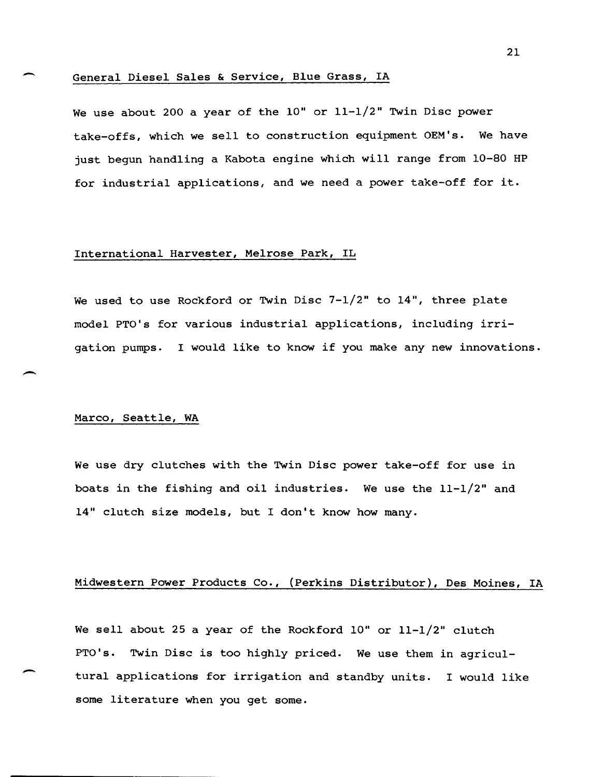#### General Diesel Sales & Service, Blue Grass, IA

We use about 200 a year of the 10" or 11-1/2" Twin Disc power take-offs, which we sell to construction equipment OEM's. We have just begun handling a Kabota engine which will range from 10-80 HP for industrial applications, and we need a power take-off for it.

#### International Harvester, Melrose Park, IL

We used to use Rockford or Twin Disc 7-1/2" to 14", three plate model PTO's for various industrial applications, including irrigation pumps. I would like to know if you make any new innovations.

#### Marco, Seattle, WA

-

-

-

We use dry clutches with the Twin Disc power take-off for use in boats in the fishing and oil industries. We use the 11-1/2" and 14" clutch size models, but I don't know how many.

#### Midwestern Power Products Co., (Perkins Distributor), Des Moines, IA

We sell about 25 a year of the Rockford 10" or 11-1/2" clutch PTO's. Twin Disc is too highly priced. We use them in agricultural applications for irrigation and standby units. I would like some literature when you get some.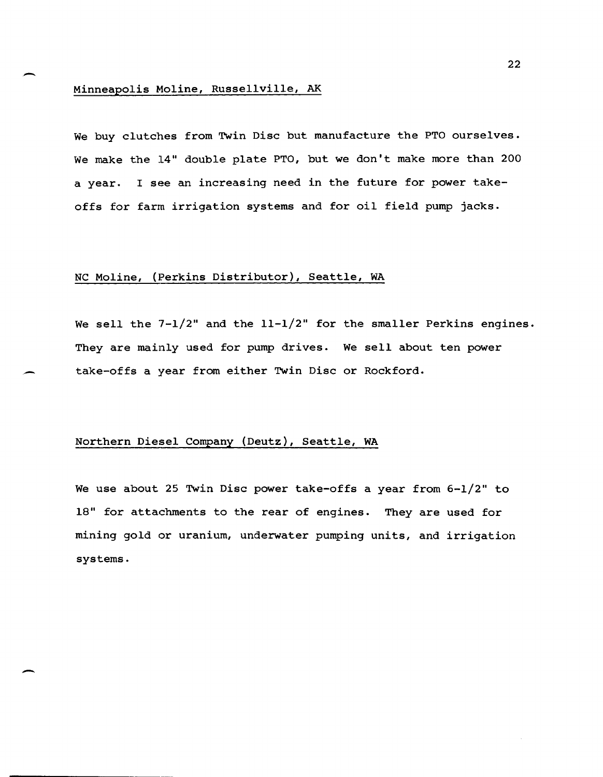# - <sup>22</sup> Minneapolis Moline, Russellville, AK

We buy clutches from Twin Disc but manufacture the PTO ourselves. We make the 14" double plate PTO, but we don't make more than 200 a year. I see an increasing need in the future for power takeoffs for farm irrigation systems and for oil field pump jacks.

#### NC Moline, (Perkins Distributor), Seattle, WA

We sell the  $7-1/2$ " and the  $11-1/2$ " for the smaller Perkins engines. They are mainly used for pump drives. We sell about ten power take-offs a year from either Twin Disc or Rockford.

#### Northern Diesel Company (Deutz), Seattle, WA

-

We use about 25 Twin Disc power take-offs a year from 6-1/2" to 18" for attachments to the rear of engines. They are used for mining gold or uranium, underwater pumping units, and irrigation systems.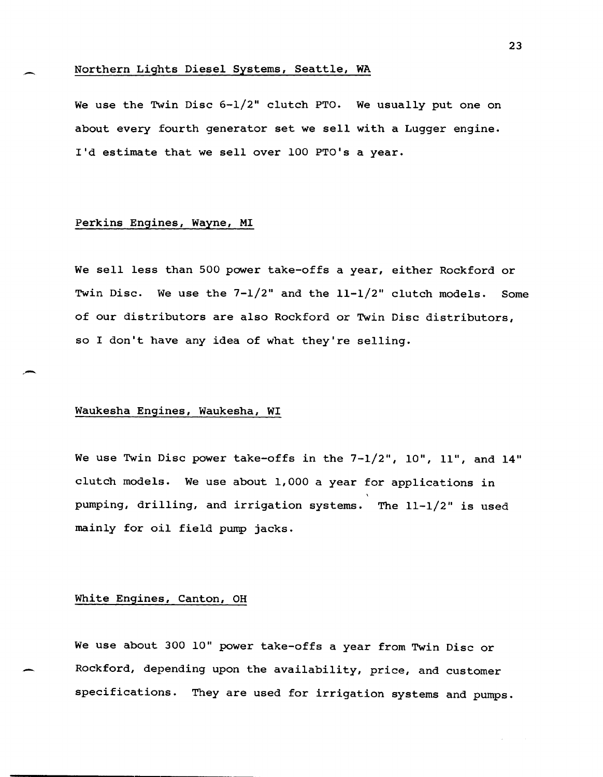#### Northern Lights Diesel Systems, Seattle, WA

We use the Twin Disc  $6-1/2$ " clutch PTO. We usually put one on about every fourth generator set we sell with a Lugger engine. I'd estimate that we sell over 100 PTO's a year.

#### Perkins Engines, Wayne, MI

.-

,-

We sell less than 500 power take-offs a year, either Rockford or Twin Disc. We use the  $7-1/2$ " and the  $11-1/2$ " clutch models. Some of our distributors are also Rockford or Twin Disc distributors, so I don't have any idea of what they're selling.

#### Waukesha Engines, Waukesha, WI

We use Twin Disc power take-offs in the 7-1/2", 10", II", and 14" clutch models. We use about 1,000 a year for applications in pumping, drilling, and irrigation systems. The 11-1/2" is used mainly for oil field pump jacks.

#### White Engines, Canton, OH

We use about 300 10" power take-offs a year from Twin Disc or Rockford, depending upon the availability, price, and customer specifications. They are used for irrigation systems and pumps.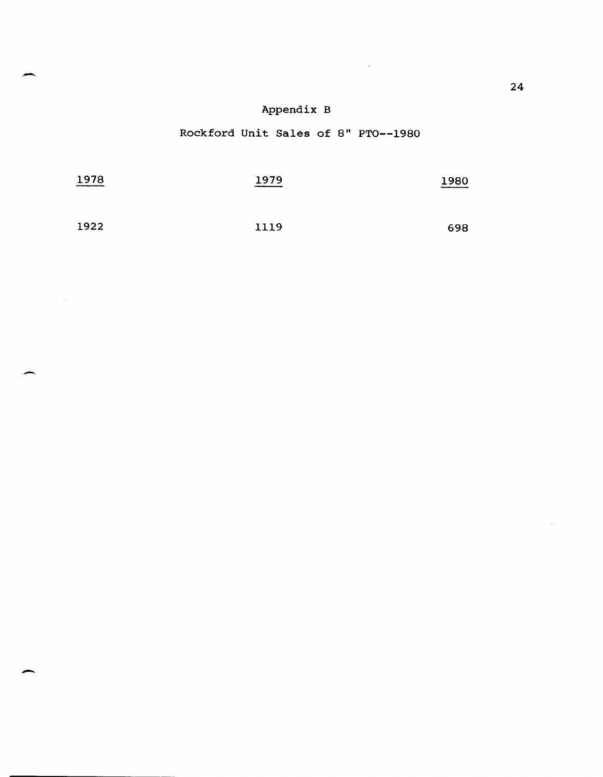# Appendix B

# Rockford Unit Sales of 8" PTO--1980

| 1978 | 1979<br>_______ | 1980<br>_________ |  |  |
|------|-----------------|-------------------|--|--|
|      |                 |                   |  |  |
| 1922 | 1119            | 698               |  |  |

-

-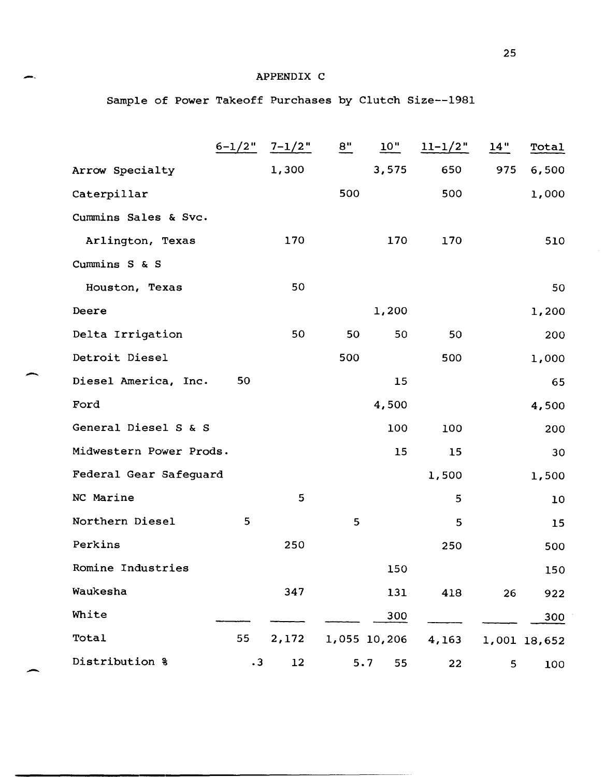## APPENDIX C

Sample of Power Takeoff Purchases by Clutch Size--1981

|                         | $6 - 1/2$ " | $7 - 1/2$ " | 8"  | 10"          | $11 - 1/2$ " | 14" | Total        |
|-------------------------|-------------|-------------|-----|--------------|--------------|-----|--------------|
| Arrow Specialty         |             | 1,300       |     | 3,575        | 650          | 975 | 6,500        |
| Caterpillar             |             |             | 500 |              | 500          |     | 1,000        |
| Cummins Sales & Svc.    |             |             |     |              |              |     |              |
| Arlington, Texas        |             | 170         |     | 170          | 170          |     | 510          |
| Cummins S & S           |             |             |     |              |              |     |              |
| Houston, Texas          |             | 50          |     |              |              |     | 50           |
| Deere                   |             |             |     | 1,200        |              |     | 1,200        |
| Delta Irrigation        |             | 50          | 50  | 50           | 50           |     | 200          |
| Detroit Diesel          |             |             | 500 |              | 500          |     | 1,000        |
| Diesel America, Inc.    | 50          |             |     | 15           |              |     | 65           |
| Ford                    |             |             |     | 4,500        |              |     | 4,500        |
| General Diesel S & S    |             |             |     | 100          | 100          |     | 200          |
| Midwestern Power Prods. |             |             |     | 15           | 15           |     | 30           |
| Federal Gear Safeguard  |             |             |     |              | 1,500        |     | 1,500        |
| NC Marine               |             | 5           |     |              | 5            |     | 10           |
| Northern Diesel         | 5           |             | 5   |              | 5            |     | 15           |
| Perkins                 |             | 250         |     |              | 250          |     | 500          |
| Romine Industries       |             |             |     | 150          |              |     | 150          |
| Waukesha                |             | 347         |     | 131          | 418          | 26  | 922          |
| White                   |             |             |     | 300          |              |     | 300          |
| Total                   | 55          | 2,172       |     | 1,055 10,206 | 4,163        |     | 1,001 18,652 |
| Distribution %          | $\cdot$ 3   | 12          |     | 5.7<br>55    | 22           | 5   | 100          |

-

m.